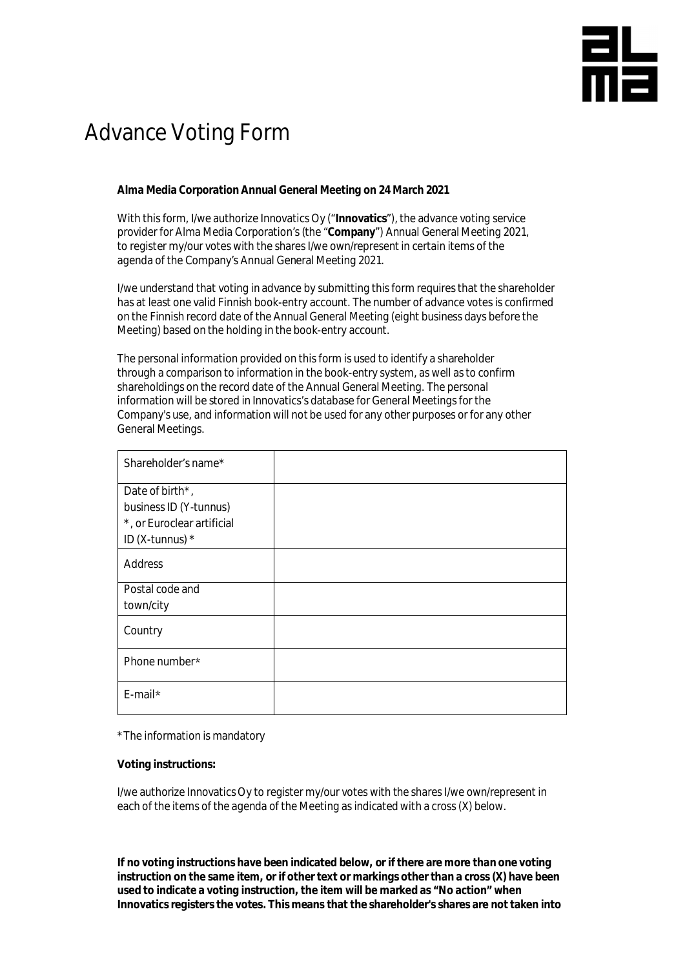## 띪

## Advance Voting Form

**Alma Media Corporation Annual General Meeting on 24 March 2021**

With this form, I/we authorize Innovatics Oy ("**Innovatics**"), the advance voting service provider for Alma Media Corporation's (the "**Company**") Annual General Meeting 2021, to register my/our votes with the shares I/we own/represent in certain items of the agenda of the Company's Annual General Meeting 2021.

I/we understand that voting in advance by submitting this form requires that the shareholder has at least one valid Finnish book-entry account. The number of advance votes is confirmed on the Finnish record date of the Annual General Meeting (eight business days before the Meeting) based on the holding in the book-entry account.

The personal information provided on this form is used to identify a shareholder through a comparison to information in the book-entry system, as well as to confirm shareholdings on the record date of the Annual General Meeting. The personal information will be stored in Innovatics's database for General Meetings for the Company's use, and information will not be used for any other purposes or for any other General Meetings.

| Shareholder's name*                                                                          |  |
|----------------------------------------------------------------------------------------------|--|
| Date of birth*,<br>business ID (Y-tunnus)<br>*, or Euroclear artificial<br>ID (X-tunnus) $*$ |  |
| Address                                                                                      |  |
| Postal code and<br>town/city                                                                 |  |
| Country                                                                                      |  |
| Phone number*                                                                                |  |
| E-mail*                                                                                      |  |

\*The information is mandatory

**Voting instructions:**

I/we authorize Innovatics Oy to register my/our votes with the shares I/we own/represent in each of the items of the agenda of the Meeting as indicated with a cross (X) below.

**If no voting instructions have been indicated below, or if there are more than one voting instruction on the same item, or if other text or markings other than a cross (X) have been used to indicate a voting instruction, the item will be marked as "No action" when Innovatics registers the votes. This means that the shareholder's shares are not taken into**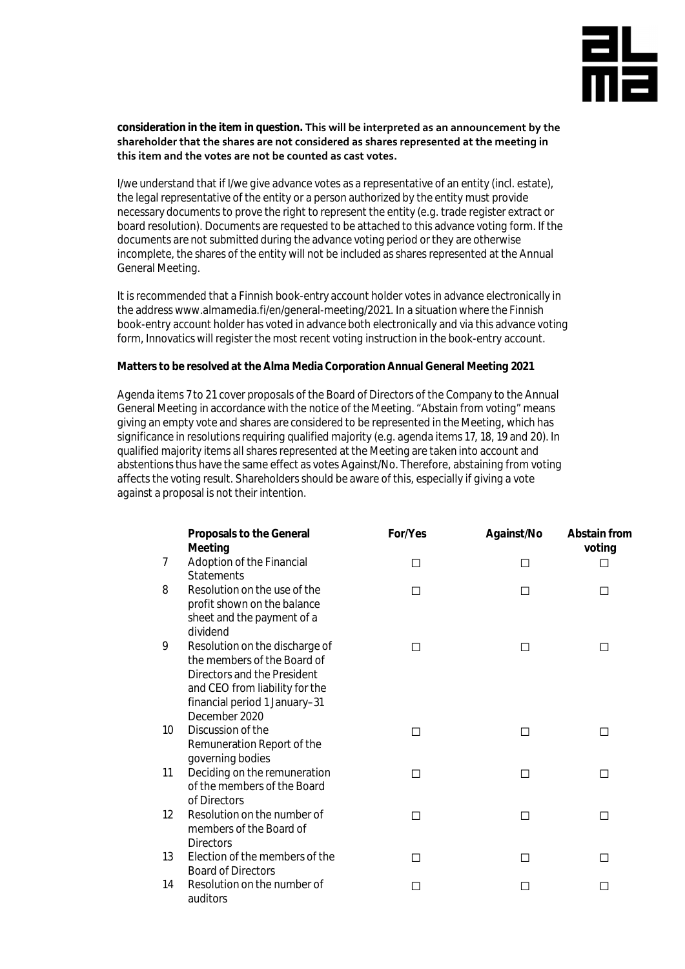

**consideration in the item in question. This will be interpreted as an announcement by the shareholder that the shares are not considered as shares represented at the meeting in this item and the votes are not be counted as cast votes.**

I/we understand that if I/we give advance votes as a representative of an entity (incl. estate), the legal representative of the entity or a person authorized by the entity must provide necessary documents to prove the right to represent the entity (e.g. trade register extract or board resolution). Documents are requested to be attached to this advance voting form. If the documents are not submitted during the advance voting period or they are otherwise incomplete, the shares of the entity will not be included as shares represented at the Annual General Meeting.

It is recommended that a Finnish book-entry account holder votes in advance electronically in the address www.almamedia.fi/en/general-meeting/2021. In a situation where the Finnish book-entry account holder has voted in advance both electronically and via this advance voting form, Innovatics will register the most recent voting instruction in the book-entry account.

**Matters to be resolved at the Alma Media Corporation Annual General Meeting 2021**

Agenda items 7 to 21 cover proposals of the Board of Directors of the Company to the Annual General Meeting in accordance with the notice of the Meeting. "Abstain from voting" means giving an empty vote and shares are considered to be represented in the Meeting, which has significance in resolutions requiring qualified majority (e.g. agenda items 17, 18, 19 and 20). In qualified majority items all shares represented at the Meeting are taken into account and abstentions thus have the same effect as votes Against/No. Therefore, abstaining from voting affects the voting result. Shareholders should be aware of this, especially if giving a vote against a proposal is not their intention.

|    | Proposals to the General<br>Meeting                                                                                                                                              | For/Yes                  | Against/No | Abstain from<br>voting |
|----|----------------------------------------------------------------------------------------------------------------------------------------------------------------------------------|--------------------------|------------|------------------------|
| 7  | Adoption of the Financial<br><b>Statements</b>                                                                                                                                   | П                        | П          | ΙI                     |
| 8  | Resolution on the use of the<br>profit shown on the balance<br>sheet and the payment of a<br>dividend                                                                            | П                        | П          | П                      |
| 9  | Resolution on the discharge of<br>the members of the Board of<br>Directors and the President<br>and CEO from liability for the<br>financial period 1 January-31<br>December 2020 | П                        | □          | $\mathsf{L}$           |
| 10 | Discussion of the<br>Remuneration Report of the<br>governing bodies                                                                                                              | П                        | П          | П                      |
| 11 | Deciding on the remuneration<br>of the members of the Board<br>of Directors                                                                                                      | П                        | П          | П                      |
| 12 | Resolution on the number of<br>members of the Board of<br><b>Directors</b>                                                                                                       | □                        | □          | □                      |
| 13 | Election of the members of the<br><b>Board of Directors</b>                                                                                                                      | П                        | □          | П                      |
| 14 | Resolution on the number of<br>auditors                                                                                                                                          | $\overline{\phantom{a}}$ | $\Box$     | H                      |